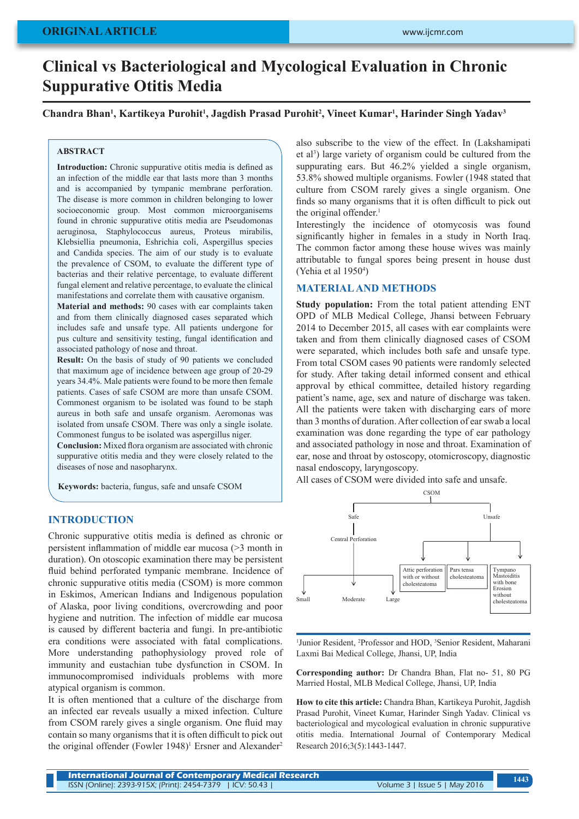# **Clinical vs Bacteriological and Mycological Evaluation in Chronic Suppurative Otitis Media**

Chandra Bhan<sup>1</sup>, Kartikeya Purohit<sup>1</sup>, Jagdish Prasad Purohit<sup>2</sup>, Vineet Kumar<sup>1</sup>, Harinder Singh Yadav<sup>3</sup>

#### **ABSTRACT**

**Introduction:** Chronic suppurative otitis media is defined as an infection of the middle ear that lasts more than 3 months and is accompanied by tympanic membrane perforation. The disease is more common in children belonging to lower socioeconomic group. Most common microorganisems found in chronic suppurative otitis media are Pseudomonas aeruginosa, Staphylococcus aureus, Proteus mirabilis, Klebsiellia pneumonia, Eshrichia coli, Aspergillus species and Candida species. The aim of our study is to evaluate the prevalence of CSOM, to evaluate the different type of bacterias and their relative percentage, to evaluate different fungal element and relative percentage, to evaluate the clinical manifestations and correlate them with causative organism.

**Material and methods:** 90 cases with ear complaints taken and from them clinically diagnosed cases separated which includes safe and unsafe type. All patients undergone for pus culture and sensitivity testing, fungal identification and associated pathology of nose and throat.

**Result:** On the basis of study of 90 patients we concluded that maximum age of incidence between age group of 20-29 years 34.4%. Male patients were found to be more then female patients. Cases of safe CSOM are more than unsafe CSOM. Commonest organism to be isolated was found to be staph aureus in both safe and unsafe organism. Aeromonas was isolated from unsafe CSOM. There was only a single isolate. Commonest fungus to be isolated was aspergillus niger.

**Conclusion:** Mixed flora organism are associated with chronic suppurative otitis media and they were closely related to the diseases of nose and nasopharynx.

**Keywords:** bacteria, fungus, safe and unsafe CSOM

## **INTRODUCTION**

Chronic suppurative otitis media is defined as chronic or persistent inflammation of middle ear mucosa (>3 month in duration). On otoscopic examination there may be persistent fluid behind perforated tympanic membrane. Incidence of chronic suppurative otitis media (CSOM) is more common in Eskimos, American Indians and Indigenous population of Alaska, poor living conditions, overcrowding and poor hygiene and nutrition. The infection of middle ear mucosa is caused by different bacteria and fungi. In pre-antibiotic era conditions were associated with fatal complications. More understanding pathophysiology proved role of immunity and eustachian tube dysfunction in CSOM. In immunocompromised individuals problems with more atypical organism is common.

It is often mentioned that a culture of the discharge from an infected ear reveals usually a mixed infection. Culture from CSOM rarely gives a single organism. One fluid may contain so many organisms that it is often difficult to pick out the original offender (Fowler 1948)<sup>1</sup> Ersner and Alexander<sup>2</sup>

also subscribe to the view of the effect. In (Lakshamipati et al<sup>3</sup>) large variety of organism could be cultured from the suppurating ears. But 46.2% yielded a single organism, 53.8% showed multiple organisms. Fowler (1948 stated that culture from CSOM rarely gives a single organism. One finds so many organisms that it is often difficult to pick out the original offender. $<sup>1</sup>$ </sup>

Interestingly the incidence of otomycosis was found significantly higher in females in a study in North Iraq. The common factor among these house wives was mainly attributable to fungal spores being present in house dust (Yehia et al 1950<sup>4</sup>)

#### **MATERIAL AND METHODS**

**Study population:** From the total patient attending ENT OPD of MLB Medical College, Jhansi between February 2014 to December 2015, all cases with ear complaints were taken and from them clinically diagnosed cases of CSOM were separated, which includes both safe and unsafe type. From total CSOM cases 90 patients were randomly selected for study. After taking detail informed consent and ethical approval by ethical committee, detailed history regarding patient's name, age, sex and nature of discharge was taken. All the patients were taken with discharging ears of more than 3 months of duration. After collection of ear swab a local examination was done regarding the type of ear pathology and associated pathology in nose and throat. Examination of ear, nose and throat by ostoscopy, otomicroscopy, diagnostic nasal endoscopy, laryngoscopy.

All cases of CSOM were divided into safe and unsafe.



<sup>1</sup> Junior Resident, <sup>2</sup>Professor and HOD, <sup>3</sup>Senior Resident, Maharani Laxmi Bai Medical College, Jhansi, UP, India

**Corresponding author:** Dr Chandra Bhan, Flat no- 51, 80 PG Married Hostal, MLB Medical College, Jhansi, UP, India

**How to cite this article:** Chandra Bhan, Kartikeya Purohit, Jagdish Prasad Purohit, Vineet Kumar, Harinder Singh Yadav. Clinical vs bacteriological and mycological evaluation in chronic suppurative otitis media. International Journal of Contemporary Medical Research 2016;3(5):1443-1447.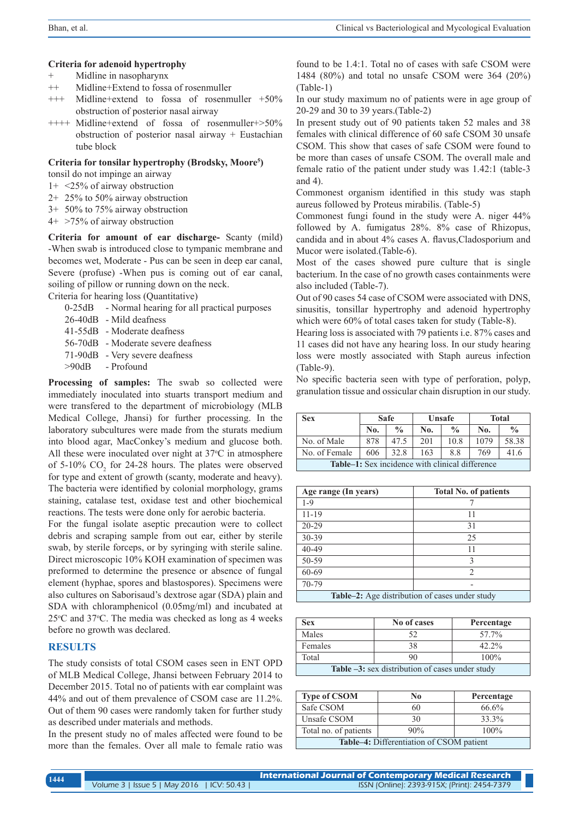#### **Criteria for adenoid hypertrophy**

- + Midline in nasopharynx
- ++ Midline+Extend to fossa of rosenmuller
- +++ Midline+extend to fossa of rosenmuller +50% obstruction of posterior nasal airway
- ++++ Midline+extend of fossa of rosenmuller+>50% obstruction of posterior nasal airway + Eustachian tube block

#### **Criteria for tonsilar hypertrophy (Brodsky, Moore5 )**

tonsil do not impinge an airway

- 1+ <25% of airway obstruction
- 2+ 25% to 50% airway obstruction
- 3+ 50% to 75% airway obstruction
- 4+ >75% of airway obstruction

**Criteria for amount of ear discharge-** Scanty (mild) -When swab is introduced close to tympanic membrane and becomes wet, Moderate - Pus can be seen in deep ear canal, Severe (profuse) -When pus is coming out of ear canal, soiling of pillow or running down on the neck.

Criteria for hearing loss (Quantitative)

- 0-25dB Normal hearing for all practical purposes
- 26-40dB Mild deafness
- 41-55dB Moderate deafness
- 56-70dB Moderate severe deafness
- 71-90dB Very severe deafness
- >90dB Profound

**Processing of samples:** The swab so collected were immediately inoculated into stuarts transport medium and were transfered to the department of microbiology (MLB Medical College, Jhansi) for further processing. In the laboratory subcultures were made from the sturats medium into blood agar, MacConkey's medium and glucose both. All these were inoculated over night at  $37^{\circ}$ C in atmosphere of 5-10%  $CO_2$  for 24-28 hours. The plates were observed for type and extent of growth (scanty, moderate and heavy). The bacteria were identified by colonial morphology, grams staining, catalase test, oxidase test and other biochemical reactions. The tests were done only for aerobic bacteria.

For the fungal isolate aseptic precaution were to collect debris and scraping sample from out ear, either by sterile swab, by sterile forceps, or by syringing with sterile saline. Direct microscopic 10% KOH examination of specimen was preformed to determine the presence or absence of fungal element (hyphae, spores and blastospores). Specimens were also cultures on Saborisaud's dextrose agar (SDA) plain and SDA with chloramphenicol (0.05mg/ml) and incubated at  $25^{\circ}$ C and  $37^{\circ}$ C. The media was checked as long as 4 weeks before no growth was declared.

# **RESULTS**

The study consists of total CSOM cases seen in ENT OPD of MLB Medical College, Jhansi between February 2014 to December 2015. Total no of patients with ear complaint was 44% and out of them prevalence of CSOM case are 11.2%. Out of them 90 cases were randomly taken for further study as described under materials and methods.

In the present study no of males affected were found to be more than the females. Over all male to female ratio was found to be 1.4:1. Total no of cases with safe CSOM were 1484 (80%) and total no unsafe CSOM were 364 (20%) (Table-1)

In our study maximum no of patients were in age group of 20-29 and 30 to 39 years.(Table-2)

In present study out of 90 patients taken 52 males and 38 females with clinical difference of 60 safe CSOM 30 unsafe CSOM. This show that cases of safe CSOM were found to be more than cases of unsafe CSOM. The overall male and female ratio of the patient under study was 1.42:1 (table-3 and 4).

Commonest organism identified in this study was staph aureus followed by Proteus mirabilis. (Table-5)

Commonest fungi found in the study were A. niger 44% followed by A. fumigatus 28%. 8% case of Rhizopus, candida and in about 4% cases A. flavus,Cladosporium and Mucor were isolated.(Table-6).

Most of the cases showed pure culture that is single bacterium. In the case of no growth cases containments were also included (Table-7).

Out of 90 cases 54 case of CSOM were associated with DNS, sinusitis, tonsillar hypertrophy and adenoid hypertrophy which were 60% of total cases taken for study (Table-8).

Hearing loss is associated with 79 patients i.e. 87% cases and 11 cases did not have any hearing loss. In our study hearing loss were mostly associated with Staph aureus infection (Table-9).

No specific bacteria seen with type of perforation, polyp, granulation tissue and ossicular chain disruption in our study.

| <b>Sex</b>                                             | <b>Safe</b> |               | Unsafe |               | <b>Total</b> |               |
|--------------------------------------------------------|-------------|---------------|--------|---------------|--------------|---------------|
|                                                        | No.         | $\frac{0}{0}$ | No.    | $\frac{0}{0}$ | No.          | $\frac{0}{0}$ |
| No. of Male                                            | 878         | 47.5          | 201    | 10.8          | 1079         | 58.38         |
| No. of Female                                          | 606         | 32.8          | 163    | 8.8           | 769          | 41.6          |
| <b>Table–1:</b> Sex incidence with clinical difference |             |               |        |               |              |               |

| Age range (In years)                                  | <b>Total No. of patients</b> |  |  |  |  |
|-------------------------------------------------------|------------------------------|--|--|--|--|
| $1 - 9$                                               |                              |  |  |  |  |
| $11 - 19$                                             | 11                           |  |  |  |  |
| $20 - 29$                                             | 31                           |  |  |  |  |
| 30-39                                                 | 25                           |  |  |  |  |
| 40-49                                                 | 11                           |  |  |  |  |
| 50-59                                                 | 3                            |  |  |  |  |
| 60-69                                                 | 2                            |  |  |  |  |
| 70-79                                                 |                              |  |  |  |  |
| <b>Table–2:</b> Age distribution of cases under study |                              |  |  |  |  |

| <b>Sex</b>                                                          | No of cases | Percentage |  |  |  |
|---------------------------------------------------------------------|-------------|------------|--|--|--|
| Males                                                               | 52          | 57.7%      |  |  |  |
| Females                                                             | 38          | $42.2\%$   |  |  |  |
| Total                                                               | 90          | 100%       |  |  |  |
| <b>Table <math>-3</math>:</b> sex distribution of cases under study |             |            |  |  |  |

| <b>Type of CSOM</b>                      | No  | Percentage |  |  |  |
|------------------------------------------|-----|------------|--|--|--|
| Safe CSOM                                | 60  | 66.6%      |  |  |  |
| Unsafe CSOM                              | 30  | 33.3%      |  |  |  |
| Total no. of patients                    | 90% | $100\%$    |  |  |  |
| Table-4: Differentiation of CSOM patient |     |            |  |  |  |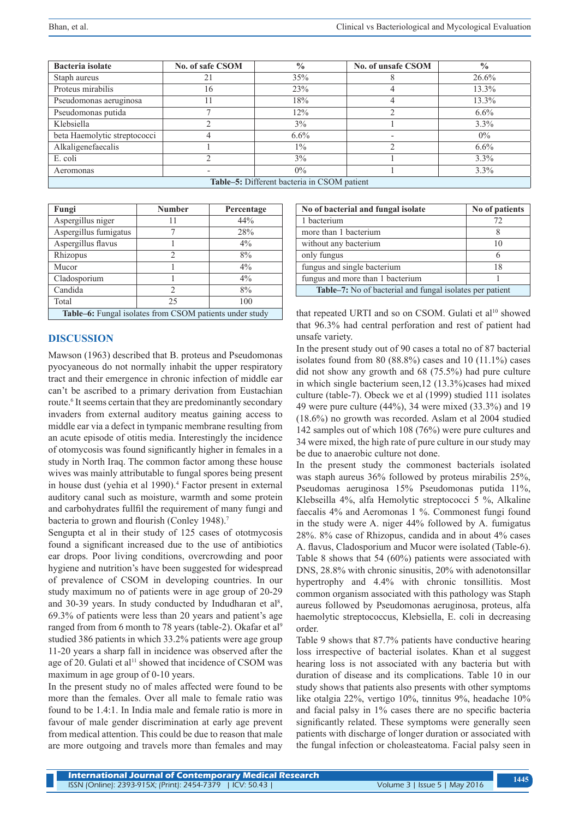| Bacteria isolate                            | No. of safe CSOM | $\frac{0}{0}$ | No. of unsafe CSOM       | $\frac{0}{0}$ |  |  |
|---------------------------------------------|------------------|---------------|--------------------------|---------------|--|--|
| Staph aureus                                | 21               | 35%           |                          | 26.6%         |  |  |
| Proteus mirabilis                           | 16               | 23%           |                          | 13.3%         |  |  |
| Pseudomonas aeruginosa                      |                  | 18%           |                          | 13.3%         |  |  |
| Pseudomonas putida                          |                  | 12%           |                          | $6.6\%$       |  |  |
| Klebsiella                                  |                  | 3%            |                          | 3.3%          |  |  |
| beta Haemolytic streptococci                | 4                | 6.6%          | $\overline{\phantom{0}}$ | $0\%$         |  |  |
| Alkaligenefaecalis                          |                  | $1\%$         |                          | $6.6\%$       |  |  |
| E. coli                                     |                  | 3%            |                          | 3.3%          |  |  |
| Aeromonas                                   |                  | $0\%$         |                          | 3.3%          |  |  |
| Table-5: Different bacteria in CSOM patient |                  |               |                          |               |  |  |

| Fungi                                                          | <b>Number</b>  | Percentage |  |  |  |  |
|----------------------------------------------------------------|----------------|------------|--|--|--|--|
| Aspergillus niger                                              | 11             | 44%        |  |  |  |  |
| Aspergillus fumigatus                                          |                | 28%        |  |  |  |  |
| Aspergillus flavus                                             |                | $4\%$      |  |  |  |  |
| Rhizopus                                                       | $\mathfrak{D}$ | 8%         |  |  |  |  |
| Mucor                                                          |                | $4\%$      |  |  |  |  |
| Cladosporium                                                   |                | $4\%$      |  |  |  |  |
| Candida                                                        | 2              | 8%         |  |  |  |  |
| Total                                                          | 25             | 100        |  |  |  |  |
| <b>Table–6:</b> Fungal isolates from CSOM patients under study |                |            |  |  |  |  |

**Table–6:** Fungal isolates from CSOM patients under study

## **DISCUSSION**

Mawson (1963) described that B. proteus and Pseudomonas pyocyaneous do not normally inhabit the upper respiratory tract and their emergence in chronic infection of middle ear can't be ascribed to a primary derivation from Eustachian route.<sup>6</sup> It seems certain that they are predominantly secondary invaders from external auditory meatus gaining access to middle ear via a defect in tympanic membrane resulting from an acute episode of otitis media. Interestingly the incidence of otomycosis was found significantly higher in females in a study in North Iraq. The common factor among these house wives was mainly attributable to fungal spores being present in house dust (yehia et al 1990).<sup>4</sup> Factor present in external auditory canal such as moisture, warmth and some protein and carbohydrates fullfil the requirement of many fungi and bacteria to grown and flourish (Conley 1948).<sup>7</sup>

Sengupta et al in their study of 125 cases of ototmycosis found a significant increased due to the use of antibiotics ear drops. Poor living conditions, overcrowding and poor hygiene and nutrition's have been suggested for widespread of prevalence of CSOM in developing countries. In our study maximum no of patients were in age group of 20-29 and 30-39 years. In study conducted by Indudharan et  $al<sup>8</sup>$ , 69.3% of patients were less than 20 years and patient's age ranged from from 6 month to 78 years (table-2). Okafar et al<sup>9</sup> studied 386 patients in which 33.2% patients were age group 11-20 years a sharp fall in incidence was observed after the age of 20. Gulati et al<sup>11</sup> showed that incidence of CSOM was maximum in age group of 0-10 years.

In the present study no of males affected were found to be more than the females. Over all male to female ratio was found to be 1.4:1. In India male and female ratio is more in favour of male gender discrimination at early age prevent from medical attention. This could be due to reason that male are more outgoing and travels more than females and may

| No of patients                                                  |  |  |  |  |
|-----------------------------------------------------------------|--|--|--|--|
| 72                                                              |  |  |  |  |
| 8                                                               |  |  |  |  |
| 10                                                              |  |  |  |  |
| 6                                                               |  |  |  |  |
| 18                                                              |  |  |  |  |
|                                                                 |  |  |  |  |
| <b>Table–7:</b> No of bacterial and fungal isolates per patient |  |  |  |  |
|                                                                 |  |  |  |  |

that repeated URTI and so on CSOM. Gulati et al<sup>10</sup> showed that 96.3% had central perforation and rest of patient had unsafe variety.

In the present study out of 90 cases a total no of 87 bacterial isolates found from 80  $(88.8\%)$  cases and 10  $(11.1\%)$  cases did not show any growth and 68 (75.5%) had pure culture in which single bacterium seen,12 (13.3%)cases had mixed culture (table-7). Obeck we et al (1999) studied 111 isolates 49 were pure culture (44%), 34 were mixed (33.3%) and 19 (18.6%) no growth was recorded. Aslam et al 2004 studied 142 samples out of which 108 (76%) were pure cultures and 34 were mixed, the high rate of pure culture in our study may be due to anaerobic culture not done.

In the present study the commonest bacterials isolated was staph aureus 36% followed by proteus mirabilis 25%, Pseudomas aeruginosa 15% Pseudomonas putida 11%, Klebseilla 4%, alfa Hemolytic streptococci 5 %, Alkaline faecalis 4% and Aeromonas 1 %. Commonest fungi found in the study were A. niger 44% followed by A. fumigatus 28%. 8% case of Rhizopus, candida and in about 4% cases A. flavus, Cladosporium and Mucor were isolated (Table-6). Table 8 shows that 54 (60%) patients were associated with DNS, 28.8% with chronic sinusitis, 20% with adenotonsillar hypertrophy and 4.4% with chronic tonsillitis. Most common organism associated with this pathology was Staph aureus followed by Pseudomonas aeruginosa, proteus, alfa haemolytic streptococcus, Klebsiella, E. coli in decreasing order.

Table 9 shows that 87.7% patients have conductive hearing loss irrespective of bacterial isolates. Khan et al suggest hearing loss is not associated with any bacteria but with duration of disease and its complications. Table 10 in our study shows that patients also presents with other symptoms like otalgia 22%, vertigo 10%, tinnitus 9%, headache 10% and facial palsy in 1% cases there are no specific bacteria significantly related. These symptoms were generally seen patients with discharge of longer duration or associated with the fungal infection or choleasteatoma. Facial palsy seen in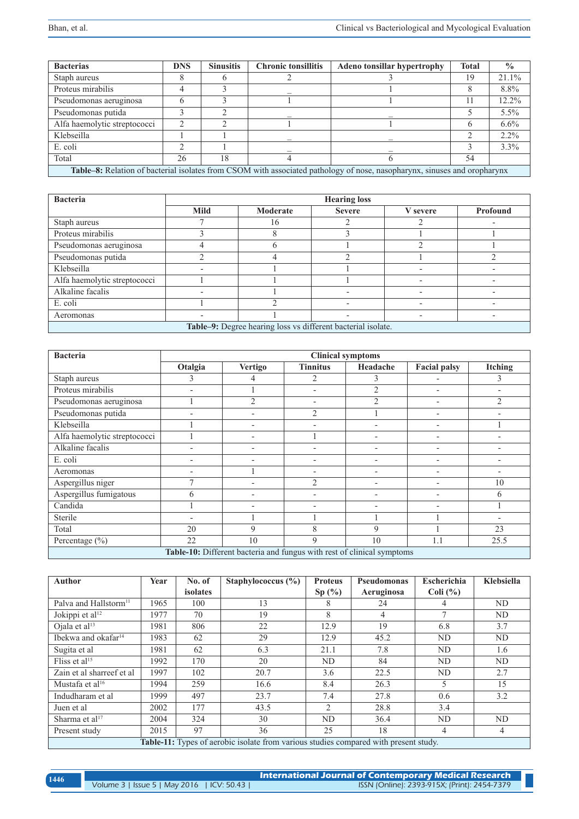| <b>Bacterias</b>                                                                                                         | <b>DNS</b> | <b>Sinusitis</b> | <b>Chronic tonsillitis</b> | <b>Adeno tonsillar hypertrophy</b> | <b>Total</b> | $\frac{0}{0}$ |
|--------------------------------------------------------------------------------------------------------------------------|------------|------------------|----------------------------|------------------------------------|--------------|---------------|
| Staph aureus                                                                                                             |            |                  |                            |                                    | 19           | 21.1%         |
| Proteus mirabilis                                                                                                        |            |                  |                            |                                    |              | 8.8%          |
| Pseudomonas aeruginosa                                                                                                   |            |                  |                            |                                    | 11           | 12.2%         |
| Pseudomonas putida                                                                                                       |            |                  |                            |                                    |              | 5.5%          |
| Alfa haemolytic streptococci                                                                                             | ◠          |                  |                            |                                    | 6            | $6.6\%$       |
| Klebseilla                                                                                                               |            |                  |                            |                                    |              | $2.2\%$       |
| E. coli                                                                                                                  |            |                  |                            |                                    |              | 3.3%          |
| Total                                                                                                                    | 26         | 18               |                            |                                    | 54           |               |
| Table-8: Relation of bacterial isolates from CSOM with associated pathology of nose, nasopharynx, sinuses and oropharynx |            |                  |                            |                                    |              |               |

| <b>Bacteria</b>                                              | <b>Hearing loss</b> |          |               |          |          |  |
|--------------------------------------------------------------|---------------------|----------|---------------|----------|----------|--|
|                                                              | Mild                | Moderate | <b>Severe</b> | V severe | Profound |  |
| Staph aureus                                                 |                     | 16       |               |          |          |  |
| Proteus mirabilis                                            |                     |          |               |          |          |  |
| Pseudomonas aeruginosa                                       |                     |          |               |          |          |  |
| Pseudomonas putida                                           |                     |          |               |          |          |  |
| Klebseilla                                                   |                     |          |               |          |          |  |
| Alfa haemolytic streptococci                                 |                     |          |               |          |          |  |
| Alkaline facalis                                             |                     |          |               |          |          |  |
| E. coli                                                      |                     |          |               |          |          |  |
| Aeromonas                                                    |                     |          |               |          |          |  |
| Table-9: Degree hearing loss vs different bacterial isolate. |                     |          |               |          |          |  |

| <b>Bacteria</b>                                                        | <b>Clinical symptoms</b> |                |                          |                          |                          |                |  |  |
|------------------------------------------------------------------------|--------------------------|----------------|--------------------------|--------------------------|--------------------------|----------------|--|--|
|                                                                        | Otalgia                  | <b>Vertigo</b> | <b>Tinnitus</b>          | Headache                 | Facial palsy             | Itching        |  |  |
| Staph aureus                                                           | 3                        |                | $\overline{2}$           | 3                        |                          | 3              |  |  |
| Proteus mirabilis                                                      |                          |                |                          | $\overline{2}$           | $\overline{\phantom{a}}$ |                |  |  |
| Pseudomonas aeruginosa                                                 |                          | $\overline{2}$ | $\overline{\phantom{0}}$ | $\mathfrak{D}$           | $\overline{\phantom{a}}$ | $\overline{2}$ |  |  |
| Pseudomonas putida                                                     |                          |                | $\overline{2}$           |                          | $\overline{\phantom{a}}$ |                |  |  |
| Klebseilla                                                             |                          |                |                          |                          | $\overline{\phantom{a}}$ |                |  |  |
| Alfa haemolytic streptococci                                           |                          |                |                          |                          | $\overline{\phantom{a}}$ |                |  |  |
| Alkaline facalis                                                       |                          |                |                          |                          | $\overline{\phantom{a}}$ |                |  |  |
| E. coli                                                                | $\overline{\phantom{a}}$ |                | $\overline{\phantom{0}}$ | $\overline{\phantom{0}}$ | $\overline{\phantom{a}}$ |                |  |  |
| Aeromonas                                                              |                          |                |                          |                          | $\overline{\phantom{a}}$ |                |  |  |
| Aspergillus niger                                                      | 7                        |                | $\mathfrak{D}$           |                          | $\overline{\phantom{a}}$ | 10             |  |  |
| Aspergillus fumigatous                                                 | 6                        |                | $\overline{\phantom{0}}$ | $\overline{\phantom{0}}$ | $\overline{\phantom{a}}$ | 6              |  |  |
| Candida                                                                |                          |                | $\overline{\phantom{0}}$ | $\overline{\phantom{0}}$ | $\overline{\phantom{a}}$ |                |  |  |
| Sterile                                                                |                          |                |                          |                          |                          |                |  |  |
| Total                                                                  | 20                       | 9              | 8                        | 9                        |                          | 23             |  |  |
| Percentage (%)                                                         | 22                       | 10             | $\mathbf Q$              | 10                       | 1.1                      | 25.5           |  |  |
| Table-10: Different bacteria and fungus with rest of clinical symptoms |                          |                |                          |                          |                          |                |  |  |

| <b>Author</b>                     | Year | No. of   | Staphylococcus $(\% )$                                                                      | <b>Proteus</b> | Pseudomonas | Escherichia  | Klebsiella |
|-----------------------------------|------|----------|---------------------------------------------------------------------------------------------|----------------|-------------|--------------|------------|
|                                   |      | isolates |                                                                                             | Sp(%)          | Aeruginosa  | Coli $(\% )$ |            |
| Palva and Hallstorm <sup>11</sup> | 1965 | 100      | 13                                                                                          | 8              | 24          |              | ND         |
| Jokippi et al <sup>12</sup>       | 1977 | 70       | 19                                                                                          | 8              | 4           |              | ND         |
| Ojala et al <sup>13</sup>         | 1981 | 806      | 22                                                                                          | 12.9           | 19          | 6.8          | 3.7        |
| Ibekwa and okafar <sup>14</sup>   | 1983 | 62       | 29                                                                                          | 12.9           | 45.2        | ND           | ND         |
| Sugita et al                      | 1981 | 62       | 6.3                                                                                         | 21.1           | 7.8         | ND           | 1.6        |
| Fliss et al <sup>15</sup>         | 1992 | 170      | 20                                                                                          | ND             | 84          | ND           | ND         |
| Zain et al sharreef et al         | 1997 | 102      | 20.7                                                                                        | 3.6            | 22.5        | ND           | 2.7        |
| Mustafa et al <sup>16</sup>       | 1994 | 259      | 16.6                                                                                        | 8.4            | 26.3        | 5            | 15         |
| Indudharam et al                  | 1999 | 497      | 23.7                                                                                        | 7.4            | 27.8        | 0.6          | 3.2        |
| Juen et al                        | 2002 | 177      | 43.5                                                                                        | 2              | 28.8        | 3.4          |            |
| Sharma et al <sup>17</sup>        | 2004 | 324      | 30                                                                                          | ND             | 36.4        | ND           | ND         |
| Present study                     | 2015 | 97       | 36                                                                                          | 25             | 18          | 4            | 4          |
|                                   |      |          | <b>Table-11:</b> Types of aerobic isolate from various studies compared with present study. |                |             |              |            |

| 1446 |                                            | International Journal of Contemporary Medical Research |  |
|------|--------------------------------------------|--------------------------------------------------------|--|
|      | Volume 3   Issue 5   May 2016   ICV: 50.43 | ISSN (Online): 2393-915X; (Print): 2454-7379           |  |